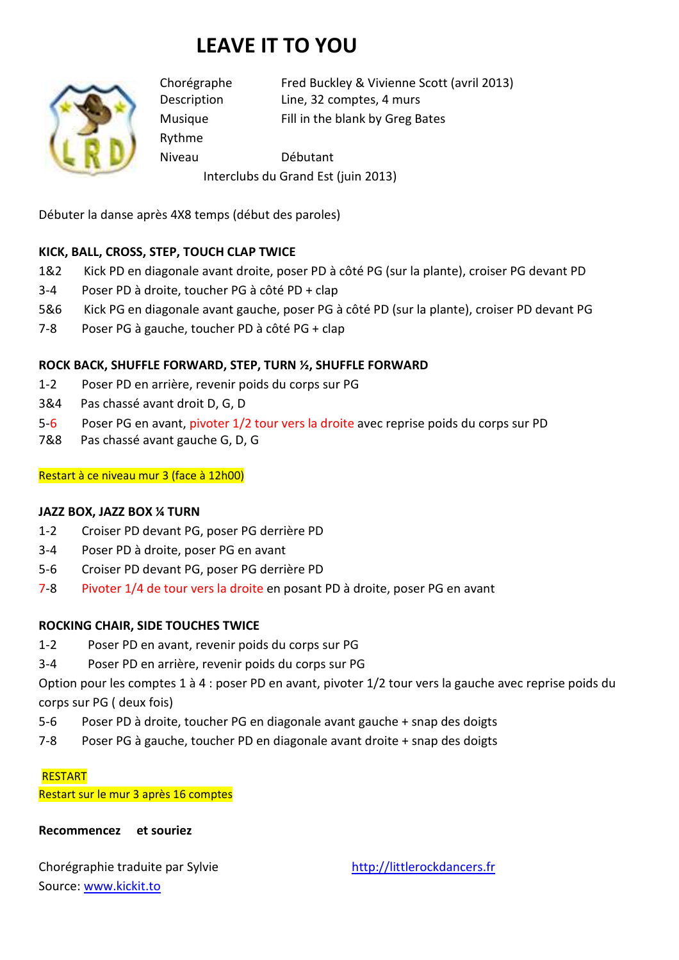# **LEAVE IT TO YOU**



Rythme

Chorégraphe Fred Buckley & Vivienne Scott (avril 2013) Description Line, 32 comptes, 4 murs Musique Fill in the blank by Greg Bates

Niveau Débutant

Interclubs du Grand Est (juin 2013)

Débuter la danse après 4X8 temps (début des paroles)

# **KICK, BALL, CROSS, STEP, TOUCH CLAP TWICE**

- 1&2 Kick PD en diagonale avant droite, poser PD à côté PG (sur la plante), croiser PG devant PD
- 3-4 Poser PD à droite, toucher PG à côté PD + clap
- 5&6 Kick PG en diagonale avant gauche, poser PG à côté PD (sur la plante), croiser PD devant PG
- 7-8 Poser PG à gauche, toucher PD à côté PG + clap

## **ROCK BACK, SHUFFLE FORWARD, STEP, TURN ½, SHUFFLE FORWARD**

- 1-2 Poser PD en arrière, revenir poids du corps sur PG
- 3&4 Pas chassé avant droit D, G, D
- 5-6 Poser PG en avant, pivoter 1/2 tour vers la droite avec reprise poids du corps sur PD
- 7&8 Pas chassé avant gauche G, D, G

## Restart à ce niveau mur 3 (face à 12h00)

## **JAZZ BOX, JAZZ BOX ¼ TURN**

- 1-2 Croiser PD devant PG, poser PG derrière PD
- 3-4 Poser PD à droite, poser PG en avant
- 5-6 Croiser PD devant PG, poser PG derrière PD
- 7-8 Pivoter 1/4 de tour vers la droite en posant PD à droite, poser PG en avant

## **ROCKING CHAIR, SIDE TOUCHES TWICE**

- 1-2 Poser PD en avant, revenir poids du corps sur PG
- 3-4 Poser PD en arrière, revenir poids du corps sur PG

Option pour les comptes 1 à 4 : poser PD en avant, pivoter 1/2 tour vers la gauche avec reprise poids du corps sur PG ( deux fois)

- 5-6 Poser PD à droite, toucher PG en diagonale avant gauche + snap des doigts
- 7-8 Poser PG à gauche, toucher PD en diagonale avant droite + snap des doigts

#### **RESTART**

Restart sur le mur 3 après 16 comptes

## **Recommencez et souriez**

Chorégraphie traduite par Sylvie http://littlerockdancers.fr Source: www.kickit.to